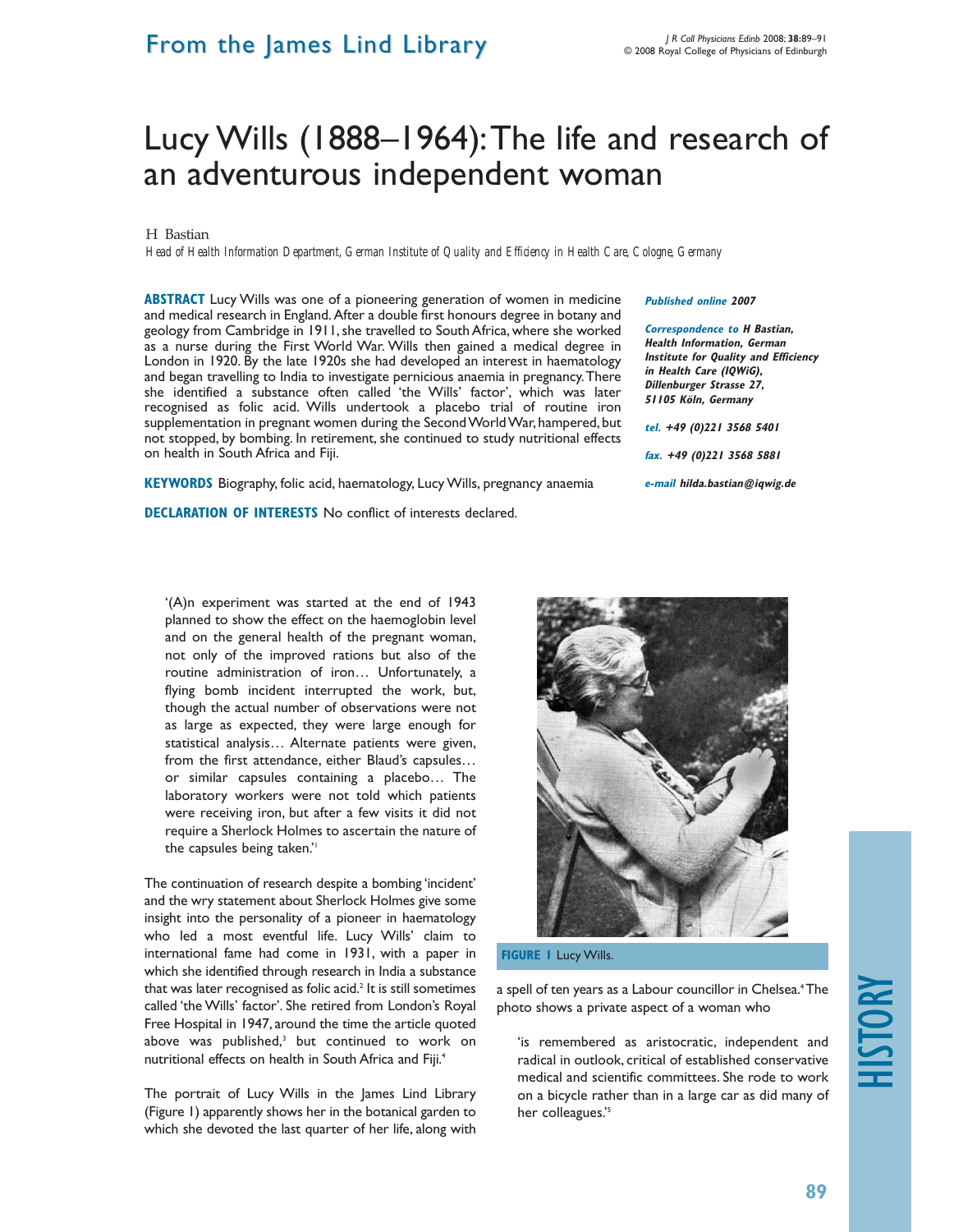### From the James Lind Library

## Lucy Wills (1888–1964):The life and research of an adventurous independent woman

#### H Bastian

*Head of Health Information Department, German Institute of Quality and Efficiency in Health Care, Cologne, Germany*

**ABSTRACT** Lucy Wills was one of a pioneering generation of women in medicine and medical research in England. After a double first honours degree in botany and geology from Cambridge in 1911, she travelled to South Africa, where she worked as a nurse during the First World War. Wills then gained a medical degree in London in 1920. By the late 1920s she had developed an interest in haematology and began travelling to India to investigate pernicious anaemia in pregnancy.There she identified a substance often called 'the Wills' factor', which was later recognised as folic acid. Wills undertook a placebo trial of routine iron supplementation in pregnant women during the Second World War, hampered, but not stopped, by bombing. In retirement, she continued to study nutritional effects on health in South Africa and Fiji.

**KEYWORDS** Biography, folic acid, haematology, Lucy Wills, pregnancy anaemia

**DECLARATION OF INTERESTS** No conflict of interests declared.

#### **Published online 2007**

**Correspondence to H Bastian, Health Information, German Institute for Quality and Efficiency in Health Care (IQWiG), Dillenburger Strasse 27, 51105 Köln, Germany tel. +49 (0)221 3568 5401 fax. +49 (0)221 3568 5881 e-mail hilda.bastian@iqwig.de** 

'(A)n experiment was started at the end of 1943 planned to show the effect on the haemoglobin level and on the general health of the pregnant woman, not only of the improved rations but also of the routine administration of iron… Unfortunately, a flying bomb incident interrupted the work, but, though the actual number of observations were not as large as expected, they were large enough for statistical analysis… Alternate patients were given, from the first attendance, either Blaud's capsules… or similar capsules containing a placebo… The laboratory workers were not told which patients were receiving iron, but after a few visits it did not require a Sherlock Holmes to ascertain the nature of the capsules being taken."

The continuation of research despite a bombing 'incident' and the wry statement about Sherlock Holmes give some insight into the personality of a pioneer in haematology who led a most eventful life. Lucy Wills' claim to international fame had come in 1931, with a paper in which she identified through research in India a substance that was later recognised as folic acid.<sup>2</sup> It is still sometimes called 'the Wills' factor'. She retired from London's Royal Free Hospital in 1947, around the time the article quoted above was published,<sup>3</sup> but continued to work on nutritional effects on health in South Africa and Fiji.4

The portrait of Lucy Wills in the James Lind Library (Figure 1) apparently shows her in the botanical garden to which she devoted the last quarter of her life, along with



**FIGURE 1** Lucy Wills.

a spell of ten years as a Labour councillor in Chelsea.<sup>4</sup>The photo shows a private aspect of a woman who

'is remembered as aristocratic, independent and radical in outlook, critical of established conservative medical and scientific committees. She rode to work on a bicycle rather than in a large car as did many of her colleagues.'5

# HISTORY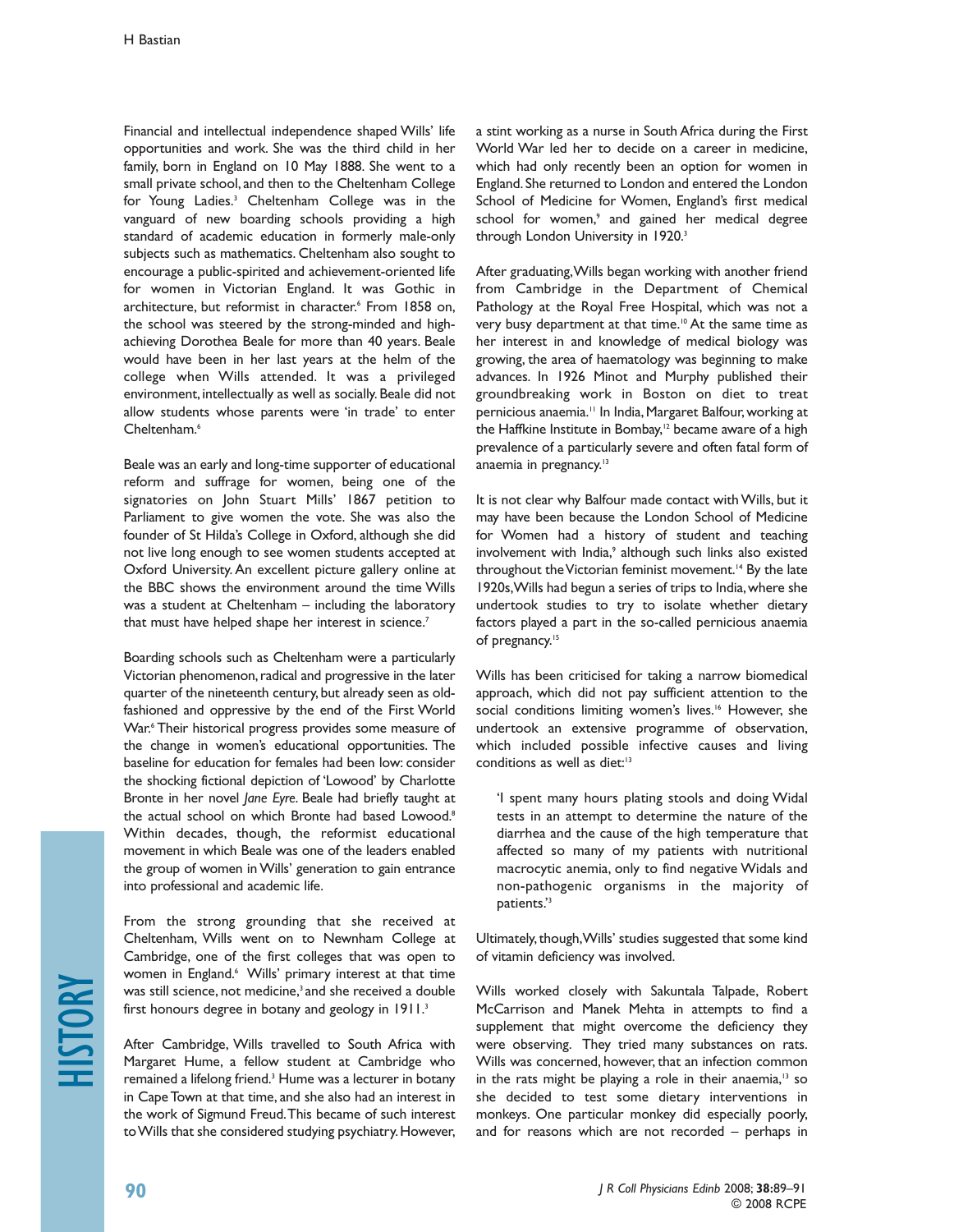Financial and intellectual independence shaped Wills' life opportunities and work. She was the third child in her family, born in England on 10 May 1888. She went to a small private school, and then to the Cheltenham College for Young Ladies.3 Cheltenham College was in the vanguard of new boarding schools providing a high standard of academic education in formerly male-only subjects such as mathematics. Cheltenham also sought to encourage a public-spirited and achievement-oriented life for women in Victorian England. It was Gothic in architecture, but reformist in character.<sup>6</sup> From 1858 on, the school was steered by the strong-minded and highachieving Dorothea Beale for more than 40 years. Beale would have been in her last years at the helm of the college when Wills attended. It was a privileged environment, intellectually as well as socially. Beale did not allow students whose parents were 'in trade' to enter Cheltenham<sup>6</sup>

Beale was an early and long-time supporter of educational reform and suffrage for women, being one of the signatories on John Stuart Mills' 1867 petition to Parliament to give women the vote. She was also the founder of St Hilda's College in Oxford, although she did not live long enough to see women students accepted at Oxford University. An excellent picture gallery online at the BBC shows the environment around the time Wills was a student at Cheltenham – including the laboratory that must have helped shape her interest in science.<sup>7</sup>

Boarding schools such as Cheltenham were a particularly Victorian phenomenon, radical and progressive in the later quarter of the nineteenth century, but already seen as oldfashioned and oppressive by the end of the First World War.<sup>6</sup> Their historical progress provides some measure of the change in women's educational opportunities. The baseline for education for females had been low: consider the shocking fictional depiction of 'Lowood' by Charlotte Bronte in her novel *Jane Eyre*. Beale had briefly taught at the actual school on which Bronte had based Lowood.<sup>8</sup> Within decades, though, the reformist educational movement in which Beale was one of the leaders enabled the group of women in Wills' generation to gain entrance into professional and academic life.

From the strong grounding that she received at Cheltenham, Wills went on to Newnham College at Cambridge, one of the first colleges that was open to women in England.<sup>6</sup> Wills' primary interest at that time was still science, not medicine,<sup>3</sup> and she received a double first honours degree in botany and geology in 1911.<sup>3</sup>

After Cambridge, Wills travelled to South Africa with Margaret Hume, a fellow student at Cambridge who remained a lifelong friend.<sup>3</sup> Hume was a lecturer in botany in Cape Town at that time, and she also had an interest in the work of Sigmund Freud.This became of such interest to Wills that she considered studying psychiatry.However,

a stint working as a nurse in South Africa during the First World War led her to decide on a career in medicine, which had only recently been an option for women in England.She returned to London and entered the London School of Medicine for Women, England's first medical school for women,<sup>9</sup> and gained her medical degree through London University in 1920.<sup>3</sup>

After graduating,Wills began working with another friend from Cambridge in the Department of Chemical Pathology at the Royal Free Hospital, which was not a very busy department at that time.<sup>10</sup> At the same time as her interest in and knowledge of medical biology was growing, the area of haematology was beginning to make advances. In 1926 Minot and Murphy published their groundbreaking work in Boston on diet to treat pernicious anaemia.<sup>11</sup> In India, Margaret Balfour, working at the Haffkine Institute in Bombay,<sup>12</sup> became aware of a high prevalence of a particularly severe and often fatal form of anaemia in pregnancy.<sup>13</sup>

It is not clear why Balfour made contact with Wills, but it may have been because the London School of Medicine for Women had a history of student and teaching involvement with India,<sup>9</sup> although such links also existed throughout the Victorian feminist movement.<sup>14</sup> By the late 1920s,Wills had begun a series of trips to India,where she undertook studies to try to isolate whether dietary factors played a part in the so-called pernicious anaemia of pregnancy.<sup>15</sup>

Wills has been criticised for taking a narrow biomedical approach, which did not pay sufficient attention to the social conditions limiting women's lives.<sup>16</sup> However, she undertook an extensive programme of observation, which included possible infective causes and living conditions as well as diet:<sup>13</sup>

'I spent many hours plating stools and doing Widal tests in an attempt to determine the nature of the diarrhea and the cause of the high temperature that affected so many of my patients with nutritional macrocytic anemia, only to find negative Widals and non-pathogenic organisms in the majority of patients.'3

Ultimately, though, Wills' studies suggested that some kind of vitamin deficiency was involved.

Wills worked closely with Sakuntala Talpade, Robert McCarrison and Manek Mehta in attempts to find a supplement that might overcome the deficiency they were observing. They tried many substances on rats. Wills was concerned, however, that an infection common in the rats might be playing a role in their anaemia, $13$  so she decided to test some dietary interventions in monkeys. One particular monkey did especially poorly, and for reasons which are not recorded – perhaps in